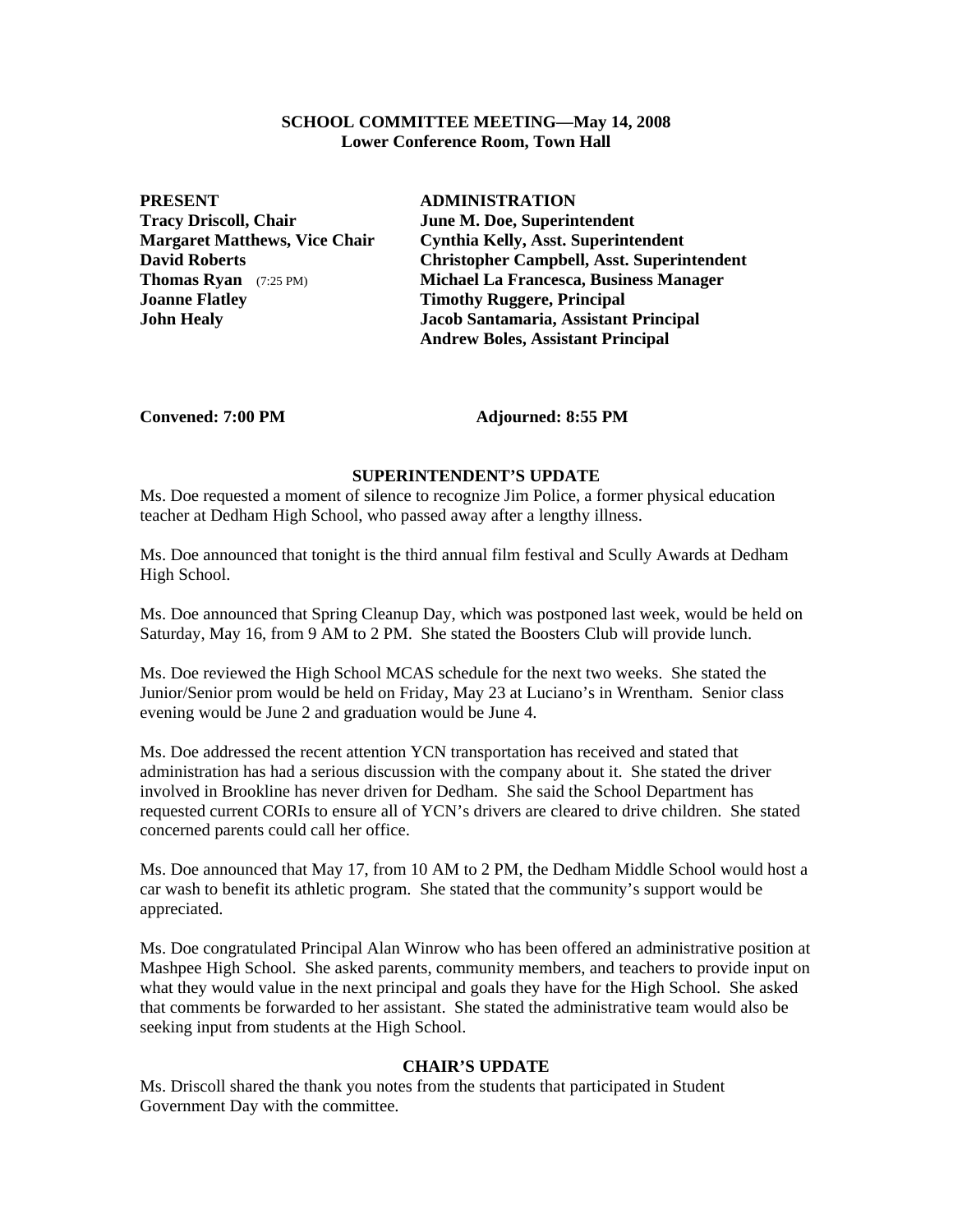#### **SCHOOL COMMITTEE MEETING—May 14, 2008 Lower Conference Room, Town Hall**

**PRESENT ADMINISTRATION Tracy Driscoll, Chair June M. Doe, Superintendent Joanne Flatley Timothy Ruggere, Principal** 

**Margaret Matthews, Vice Chair Cynthia Kelly, Asst. Superintendent David Roberts Christopher Campbell, Asst. Superintendent Thomas Ryan** (7:25 PM) **Michael La Francesca, Business Manager John Healy Jacob Santamaria, Assistant Principal Andrew Boles, Assistant Principal** 

Convened: 7:00 PM **Adjourned: 8:55 PM** 

#### **SUPERINTENDENT'S UPDATE**

Ms. Doe requested a moment of silence to recognize Jim Police, a former physical education teacher at Dedham High School, who passed away after a lengthy illness.

Ms. Doe announced that tonight is the third annual film festival and Scully Awards at Dedham High School.

Ms. Doe announced that Spring Cleanup Day, which was postponed last week, would be held on Saturday, May 16, from 9 AM to 2 PM. She stated the Boosters Club will provide lunch.

Ms. Doe reviewed the High School MCAS schedule for the next two weeks. She stated the Junior/Senior prom would be held on Friday, May 23 at Luciano's in Wrentham. Senior class evening would be June 2 and graduation would be June 4.

Ms. Doe addressed the recent attention YCN transportation has received and stated that administration has had a serious discussion with the company about it. She stated the driver involved in Brookline has never driven for Dedham. She said the School Department has requested current CORIs to ensure all of YCN's drivers are cleared to drive children. She stated concerned parents could call her office.

Ms. Doe announced that May 17, from 10 AM to 2 PM, the Dedham Middle School would host a car wash to benefit its athletic program. She stated that the community's support would be appreciated.

Ms. Doe congratulated Principal Alan Winrow who has been offered an administrative position at Mashpee High School. She asked parents, community members, and teachers to provide input on what they would value in the next principal and goals they have for the High School. She asked that comments be forwarded to her assistant. She stated the administrative team would also be seeking input from students at the High School.

# **CHAIR'S UPDATE**

Ms. Driscoll shared the thank you notes from the students that participated in Student Government Day with the committee.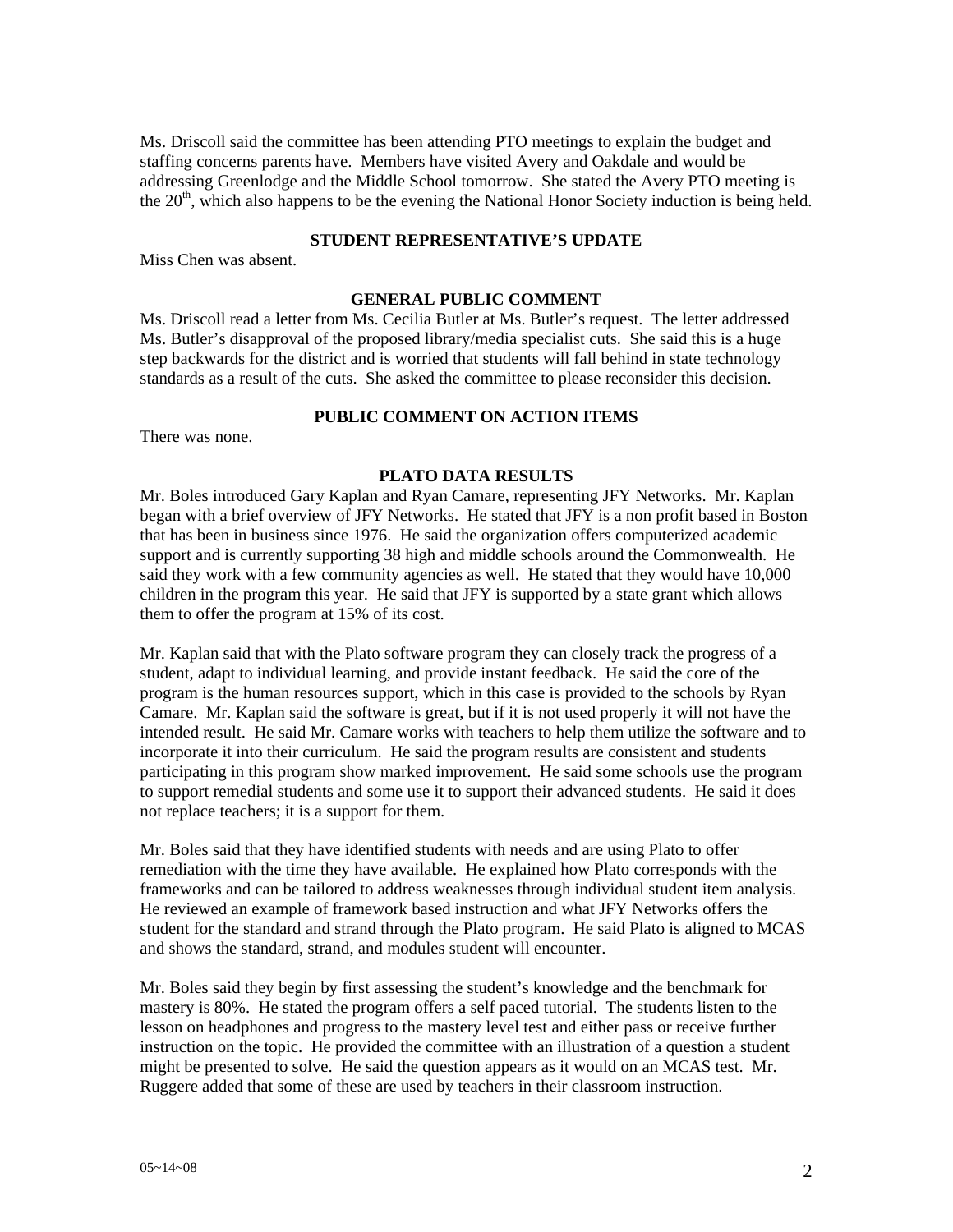Ms. Driscoll said the committee has been attending PTO meetings to explain the budget and staffing concerns parents have. Members have visited Avery and Oakdale and would be addressing Greenlodge and the Middle School tomorrow. She stated the Avery PTO meeting is the  $20<sup>th</sup>$ , which also happens to be the evening the National Honor Society induction is being held.

### **STUDENT REPRESENTATIVE'S UPDATE**

Miss Chen was absent.

# **GENERAL PUBLIC COMMENT**

Ms. Driscoll read a letter from Ms. Cecilia Butler at Ms. Butler's request. The letter addressed Ms. Butler's disapproval of the proposed library/media specialist cuts. She said this is a huge step backwards for the district and is worried that students will fall behind in state technology standards as a result of the cuts. She asked the committee to please reconsider this decision.

### **PUBLIC COMMENT ON ACTION ITEMS**

There was none.

# **PLATO DATA RESULTS**

Mr. Boles introduced Gary Kaplan and Ryan Camare, representing JFY Networks. Mr. Kaplan began with a brief overview of JFY Networks. He stated that JFY is a non profit based in Boston that has been in business since 1976. He said the organization offers computerized academic support and is currently supporting 38 high and middle schools around the Commonwealth. He said they work with a few community agencies as well. He stated that they would have 10,000 children in the program this year. He said that JFY is supported by a state grant which allows them to offer the program at 15% of its cost.

Mr. Kaplan said that with the Plato software program they can closely track the progress of a student, adapt to individual learning, and provide instant feedback. He said the core of the program is the human resources support, which in this case is provided to the schools by Ryan Camare. Mr. Kaplan said the software is great, but if it is not used properly it will not have the intended result. He said Mr. Camare works with teachers to help them utilize the software and to incorporate it into their curriculum. He said the program results are consistent and students participating in this program show marked improvement. He said some schools use the program to support remedial students and some use it to support their advanced students. He said it does not replace teachers; it is a support for them.

Mr. Boles said that they have identified students with needs and are using Plato to offer remediation with the time they have available. He explained how Plato corresponds with the frameworks and can be tailored to address weaknesses through individual student item analysis. He reviewed an example of framework based instruction and what JFY Networks offers the student for the standard and strand through the Plato program. He said Plato is aligned to MCAS and shows the standard, strand, and modules student will encounter.

Mr. Boles said they begin by first assessing the student's knowledge and the benchmark for mastery is 80%. He stated the program offers a self paced tutorial. The students listen to the lesson on headphones and progress to the mastery level test and either pass or receive further instruction on the topic. He provided the committee with an illustration of a question a student might be presented to solve. He said the question appears as it would on an MCAS test. Mr. Ruggere added that some of these are used by teachers in their classroom instruction.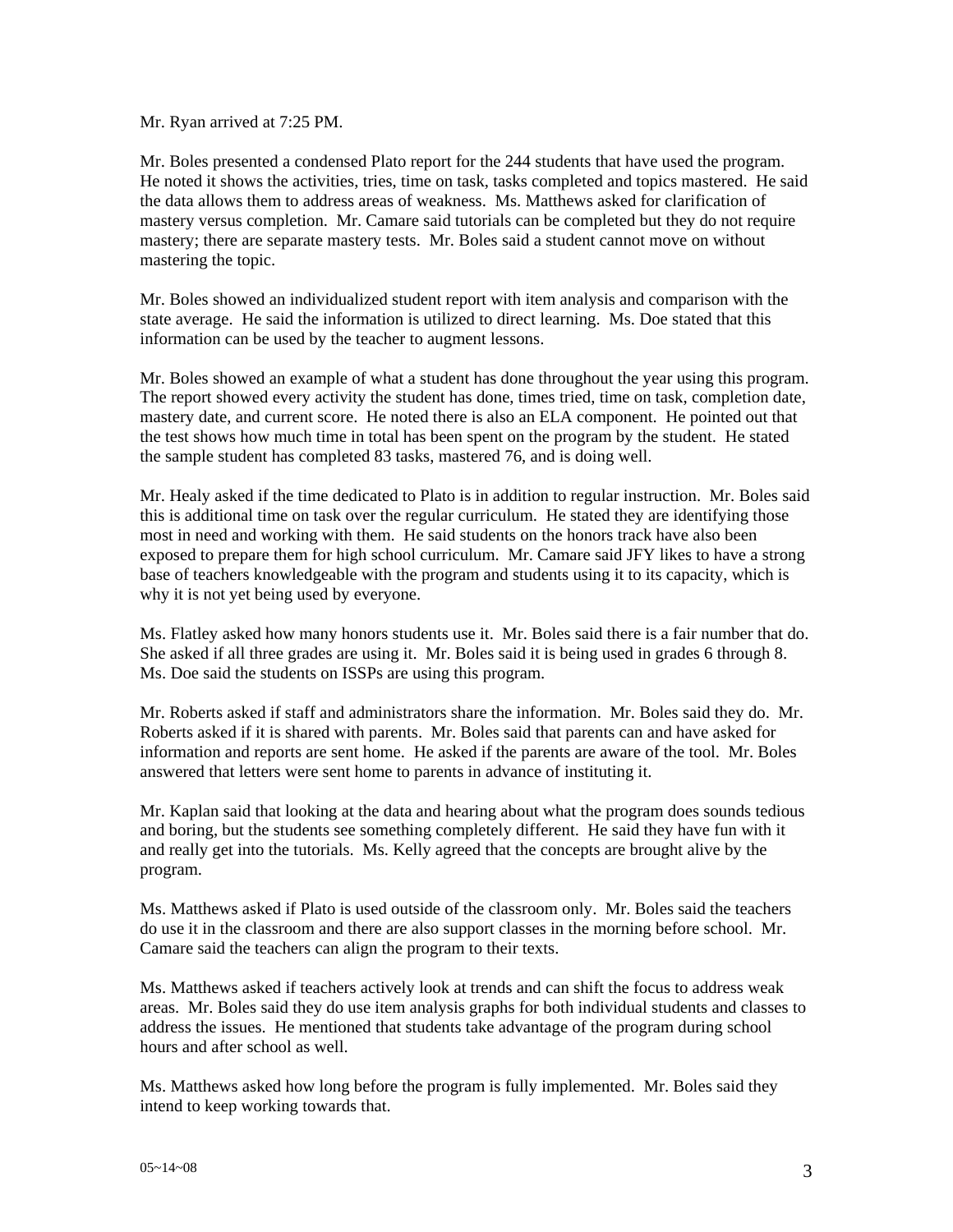Mr. Ryan arrived at 7:25 PM.

Mr. Boles presented a condensed Plato report for the 244 students that have used the program. He noted it shows the activities, tries, time on task, tasks completed and topics mastered. He said the data allows them to address areas of weakness. Ms. Matthews asked for clarification of mastery versus completion. Mr. Camare said tutorials can be completed but they do not require mastery; there are separate mastery tests. Mr. Boles said a student cannot move on without mastering the topic.

Mr. Boles showed an individualized student report with item analysis and comparison with the state average. He said the information is utilized to direct learning. Ms. Doe stated that this information can be used by the teacher to augment lessons.

Mr. Boles showed an example of what a student has done throughout the year using this program. The report showed every activity the student has done, times tried, time on task, completion date, mastery date, and current score. He noted there is also an ELA component. He pointed out that the test shows how much time in total has been spent on the program by the student. He stated the sample student has completed 83 tasks, mastered 76, and is doing well.

Mr. Healy asked if the time dedicated to Plato is in addition to regular instruction. Mr. Boles said this is additional time on task over the regular curriculum. He stated they are identifying those most in need and working with them. He said students on the honors track have also been exposed to prepare them for high school curriculum. Mr. Camare said JFY likes to have a strong base of teachers knowledgeable with the program and students using it to its capacity, which is why it is not yet being used by everyone.

Ms. Flatley asked how many honors students use it. Mr. Boles said there is a fair number that do. She asked if all three grades are using it. Mr. Boles said it is being used in grades 6 through 8. Ms. Doe said the students on ISSPs are using this program.

Mr. Roberts asked if staff and administrators share the information. Mr. Boles said they do. Mr. Roberts asked if it is shared with parents. Mr. Boles said that parents can and have asked for information and reports are sent home. He asked if the parents are aware of the tool. Mr. Boles answered that letters were sent home to parents in advance of instituting it.

Mr. Kaplan said that looking at the data and hearing about what the program does sounds tedious and boring, but the students see something completely different. He said they have fun with it and really get into the tutorials. Ms. Kelly agreed that the concepts are brought alive by the program.

Ms. Matthews asked if Plato is used outside of the classroom only. Mr. Boles said the teachers do use it in the classroom and there are also support classes in the morning before school. Mr. Camare said the teachers can align the program to their texts.

Ms. Matthews asked if teachers actively look at trends and can shift the focus to address weak areas. Mr. Boles said they do use item analysis graphs for both individual students and classes to address the issues. He mentioned that students take advantage of the program during school hours and after school as well.

Ms. Matthews asked how long before the program is fully implemented. Mr. Boles said they intend to keep working towards that.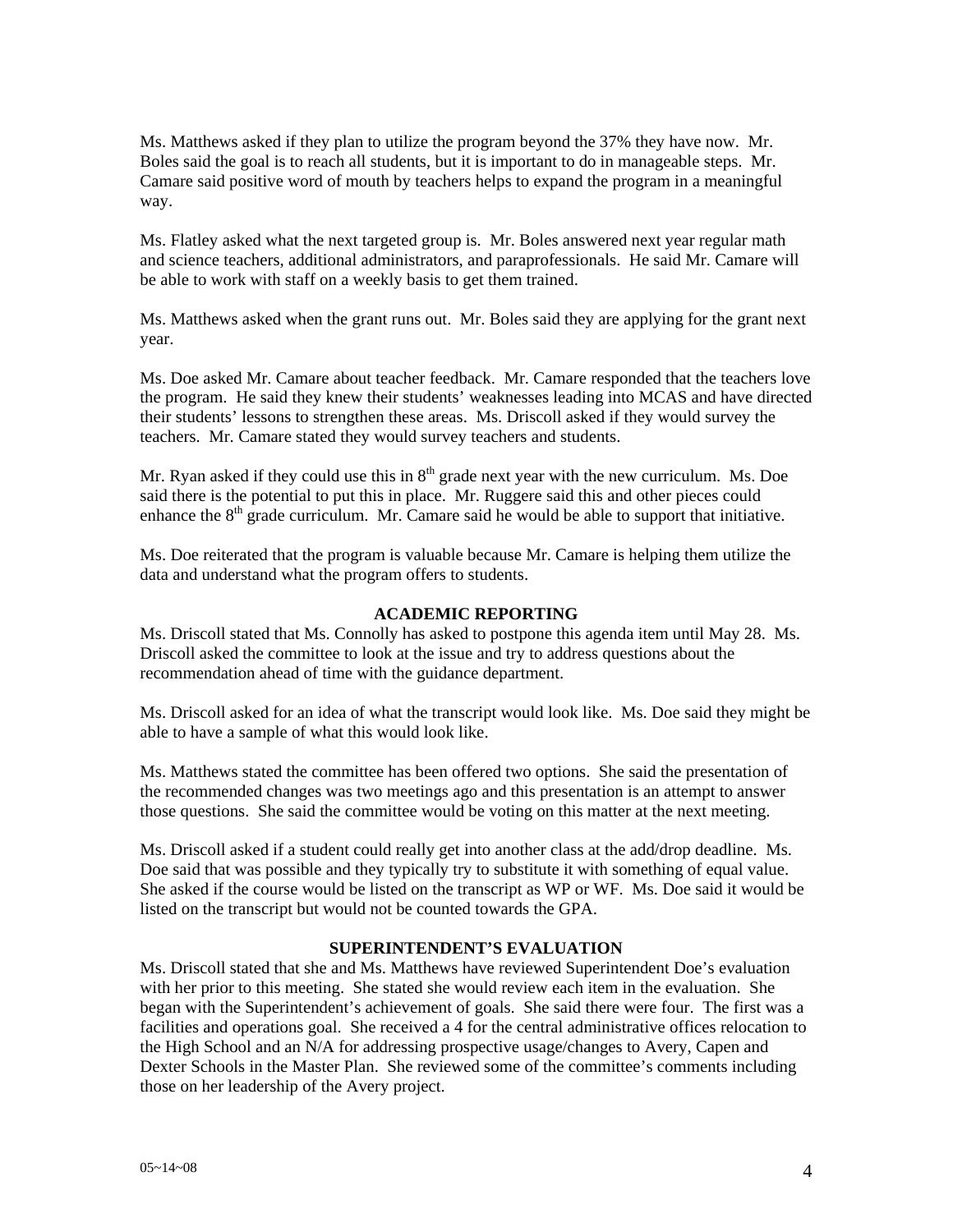Ms. Matthews asked if they plan to utilize the program beyond the 37% they have now. Mr. Boles said the goal is to reach all students, but it is important to do in manageable steps. Mr. Camare said positive word of mouth by teachers helps to expand the program in a meaningful way.

Ms. Flatley asked what the next targeted group is. Mr. Boles answered next year regular math and science teachers, additional administrators, and paraprofessionals. He said Mr. Camare will be able to work with staff on a weekly basis to get them trained.

Ms. Matthews asked when the grant runs out. Mr. Boles said they are applying for the grant next year.

Ms. Doe asked Mr. Camare about teacher feedback. Mr. Camare responded that the teachers love the program. He said they knew their students' weaknesses leading into MCAS and have directed their students' lessons to strengthen these areas. Ms. Driscoll asked if they would survey the teachers. Mr. Camare stated they would survey teachers and students.

Mr. Ryan asked if they could use this in  $8<sup>th</sup>$  grade next year with the new curriculum. Ms. Doe said there is the potential to put this in place. Mr. Ruggere said this and other pieces could enhance the  $8<sup>th</sup>$  grade curriculum. Mr. Camare said he would be able to support that initiative.

Ms. Doe reiterated that the program is valuable because Mr. Camare is helping them utilize the data and understand what the program offers to students.

#### **ACADEMIC REPORTING**

Ms. Driscoll stated that Ms. Connolly has asked to postpone this agenda item until May 28. Ms. Driscoll asked the committee to look at the issue and try to address questions about the recommendation ahead of time with the guidance department.

Ms. Driscoll asked for an idea of what the transcript would look like. Ms. Doe said they might be able to have a sample of what this would look like.

Ms. Matthews stated the committee has been offered two options. She said the presentation of the recommended changes was two meetings ago and this presentation is an attempt to answer those questions. She said the committee would be voting on this matter at the next meeting.

Ms. Driscoll asked if a student could really get into another class at the add/drop deadline. Ms. Doe said that was possible and they typically try to substitute it with something of equal value. She asked if the course would be listed on the transcript as WP or WF. Ms. Doe said it would be listed on the transcript but would not be counted towards the GPA.

# **SUPERINTENDENT'S EVALUATION**

Ms. Driscoll stated that she and Ms. Matthews have reviewed Superintendent Doe's evaluation with her prior to this meeting. She stated she would review each item in the evaluation. She began with the Superintendent's achievement of goals. She said there were four. The first was a facilities and operations goal. She received a 4 for the central administrative offices relocation to the High School and an N/A for addressing prospective usage/changes to Avery, Capen and Dexter Schools in the Master Plan. She reviewed some of the committee's comments including those on her leadership of the Avery project.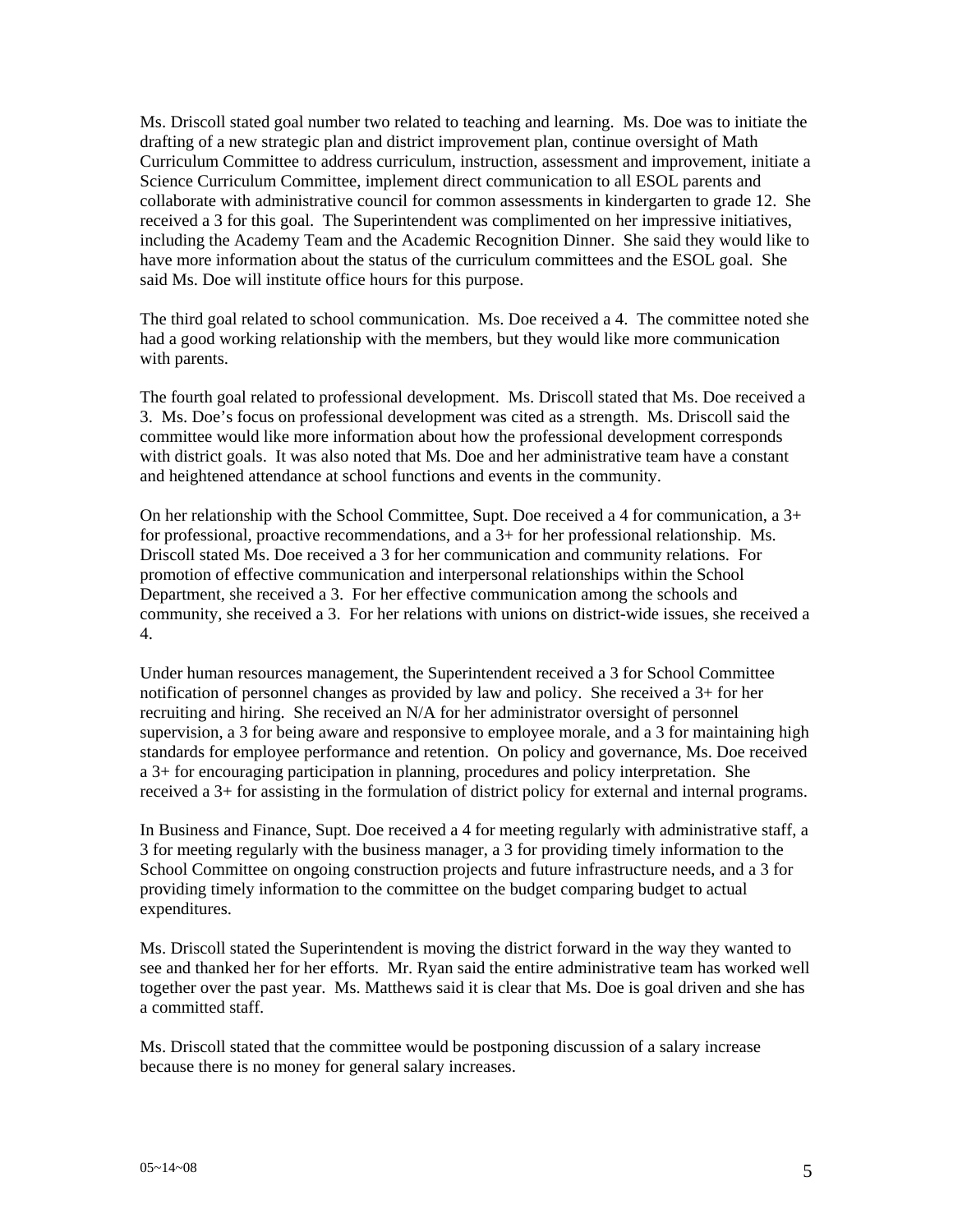Ms. Driscoll stated goal number two related to teaching and learning. Ms. Doe was to initiate the drafting of a new strategic plan and district improvement plan, continue oversight of Math Curriculum Committee to address curriculum, instruction, assessment and improvement, initiate a Science Curriculum Committee, implement direct communication to all ESOL parents and collaborate with administrative council for common assessments in kindergarten to grade 12. She received a 3 for this goal. The Superintendent was complimented on her impressive initiatives, including the Academy Team and the Academic Recognition Dinner. She said they would like to have more information about the status of the curriculum committees and the ESOL goal. She said Ms. Doe will institute office hours for this purpose.

The third goal related to school communication. Ms. Doe received a 4. The committee noted she had a good working relationship with the members, but they would like more communication with parents.

The fourth goal related to professional development. Ms. Driscoll stated that Ms. Doe received a 3. Ms. Doe's focus on professional development was cited as a strength. Ms. Driscoll said the committee would like more information about how the professional development corresponds with district goals. It was also noted that Ms. Doe and her administrative team have a constant and heightened attendance at school functions and events in the community.

On her relationship with the School Committee, Supt. Doe received a 4 for communication, a 3+ for professional, proactive recommendations, and a 3+ for her professional relationship. Ms. Driscoll stated Ms. Doe received a 3 for her communication and community relations. For promotion of effective communication and interpersonal relationships within the School Department, she received a 3. For her effective communication among the schools and community, she received a 3. For her relations with unions on district-wide issues, she received a 4.

Under human resources management, the Superintendent received a 3 for School Committee notification of personnel changes as provided by law and policy. She received a 3+ for her recruiting and hiring. She received an N/A for her administrator oversight of personnel supervision, a 3 for being aware and responsive to employee morale, and a 3 for maintaining high standards for employee performance and retention. On policy and governance, Ms. Doe received a 3+ for encouraging participation in planning, procedures and policy interpretation. She received a 3+ for assisting in the formulation of district policy for external and internal programs.

In Business and Finance, Supt. Doe received a 4 for meeting regularly with administrative staff, a 3 for meeting regularly with the business manager, a 3 for providing timely information to the School Committee on ongoing construction projects and future infrastructure needs, and a 3 for providing timely information to the committee on the budget comparing budget to actual expenditures.

Ms. Driscoll stated the Superintendent is moving the district forward in the way they wanted to see and thanked her for her efforts. Mr. Ryan said the entire administrative team has worked well together over the past year. Ms. Matthews said it is clear that Ms. Doe is goal driven and she has a committed staff.

Ms. Driscoll stated that the committee would be postponing discussion of a salary increase because there is no money for general salary increases.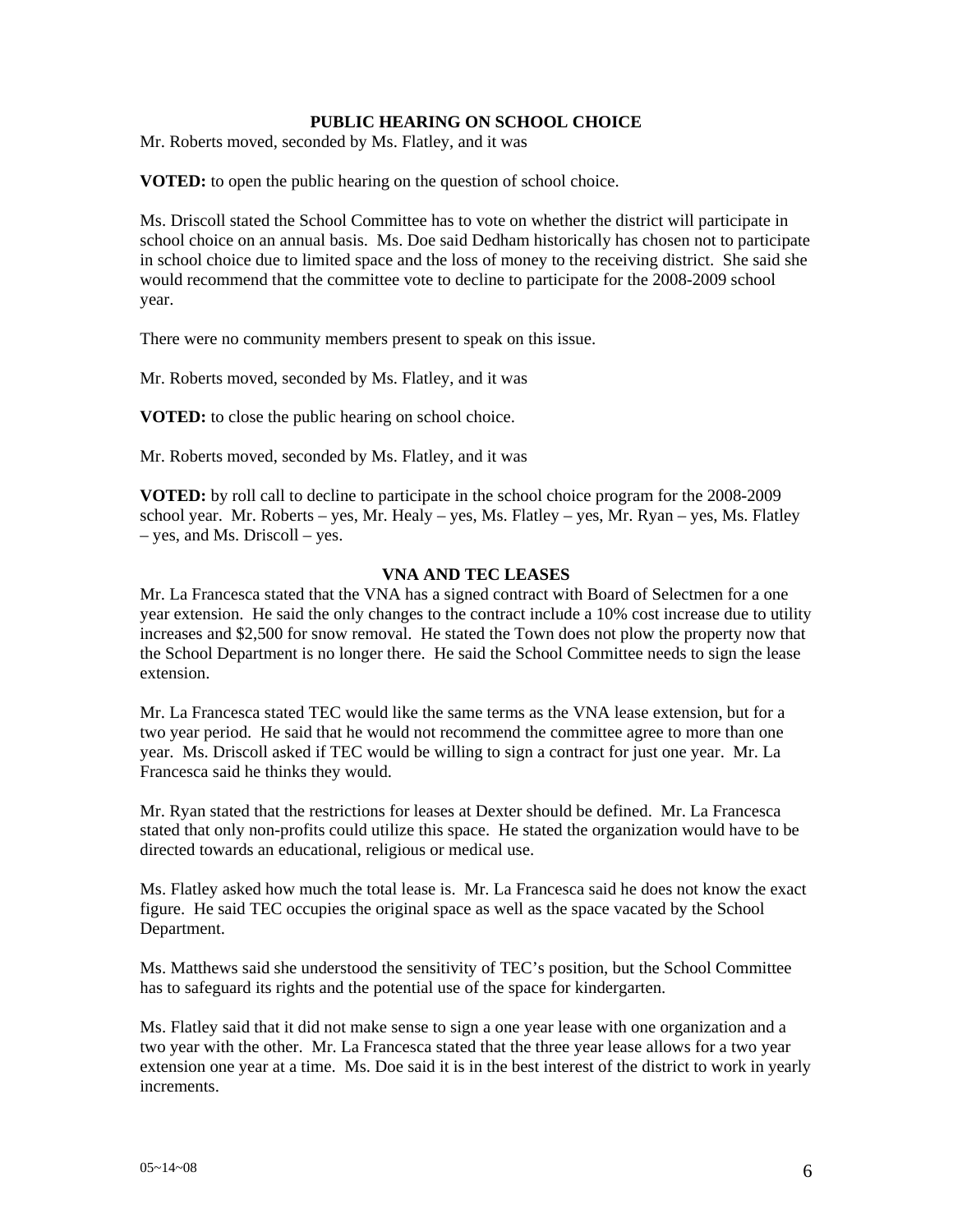# **PUBLIC HEARING ON SCHOOL CHOICE**

Mr. Roberts moved, seconded by Ms. Flatley, and it was

**VOTED:** to open the public hearing on the question of school choice.

Ms. Driscoll stated the School Committee has to vote on whether the district will participate in school choice on an annual basis. Ms. Doe said Dedham historically has chosen not to participate in school choice due to limited space and the loss of money to the receiving district. She said she would recommend that the committee vote to decline to participate for the 2008-2009 school year.

There were no community members present to speak on this issue.

Mr. Roberts moved, seconded by Ms. Flatley, and it was

**VOTED:** to close the public hearing on school choice.

Mr. Roberts moved, seconded by Ms. Flatley, and it was

**VOTED:** by roll call to decline to participate in the school choice program for the 2008-2009 school year. Mr. Roberts – yes, Mr. Healy – yes, Ms. Flatley – yes, Mr. Ryan – yes, Ms. Flatley – yes, and Ms. Driscoll – yes.

### **VNA AND TEC LEASES**

Mr. La Francesca stated that the VNA has a signed contract with Board of Selectmen for a one year extension. He said the only changes to the contract include a 10% cost increase due to utility increases and \$2,500 for snow removal. He stated the Town does not plow the property now that the School Department is no longer there. He said the School Committee needs to sign the lease extension.

Mr. La Francesca stated TEC would like the same terms as the VNA lease extension, but for a two year period. He said that he would not recommend the committee agree to more than one year. Ms. Driscoll asked if TEC would be willing to sign a contract for just one year. Mr. La Francesca said he thinks they would.

Mr. Ryan stated that the restrictions for leases at Dexter should be defined. Mr. La Francesca stated that only non-profits could utilize this space. He stated the organization would have to be directed towards an educational, religious or medical use.

Ms. Flatley asked how much the total lease is. Mr. La Francesca said he does not know the exact figure. He said TEC occupies the original space as well as the space vacated by the School Department.

Ms. Matthews said she understood the sensitivity of TEC's position, but the School Committee has to safeguard its rights and the potential use of the space for kindergarten.

Ms. Flatley said that it did not make sense to sign a one year lease with one organization and a two year with the other. Mr. La Francesca stated that the three year lease allows for a two year extension one year at a time. Ms. Doe said it is in the best interest of the district to work in yearly increments.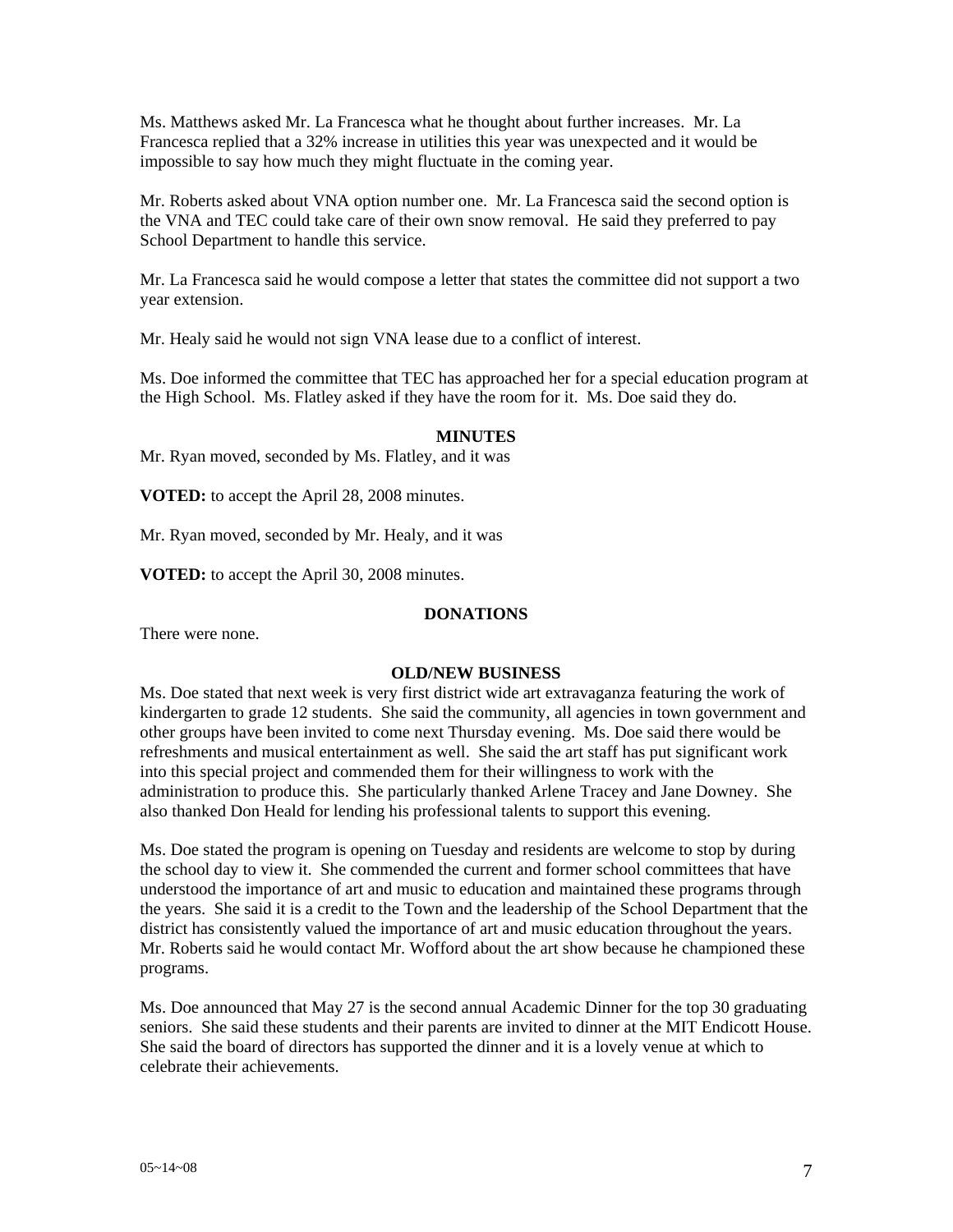Ms. Matthews asked Mr. La Francesca what he thought about further increases. Mr. La Francesca replied that a 32% increase in utilities this year was unexpected and it would be impossible to say how much they might fluctuate in the coming year.

Mr. Roberts asked about VNA option number one. Mr. La Francesca said the second option is the VNA and TEC could take care of their own snow removal. He said they preferred to pay School Department to handle this service.

Mr. La Francesca said he would compose a letter that states the committee did not support a two year extension.

Mr. Healy said he would not sign VNA lease due to a conflict of interest.

Ms. Doe informed the committee that TEC has approached her for a special education program at the High School. Ms. Flatley asked if they have the room for it. Ms. Doe said they do.

# **MINUTES**

Mr. Ryan moved, seconded by Ms. Flatley, and it was

**VOTED:** to accept the April 28, 2008 minutes.

Mr. Ryan moved, seconded by Mr. Healy, and it was

**VOTED:** to accept the April 30, 2008 minutes.

#### **DONATIONS**

There were none.

#### **OLD/NEW BUSINESS**

Ms. Doe stated that next week is very first district wide art extravaganza featuring the work of kindergarten to grade 12 students. She said the community, all agencies in town government and other groups have been invited to come next Thursday evening. Ms. Doe said there would be refreshments and musical entertainment as well. She said the art staff has put significant work into this special project and commended them for their willingness to work with the administration to produce this. She particularly thanked Arlene Tracey and Jane Downey. She also thanked Don Heald for lending his professional talents to support this evening.

Ms. Doe stated the program is opening on Tuesday and residents are welcome to stop by during the school day to view it. She commended the current and former school committees that have understood the importance of art and music to education and maintained these programs through the years. She said it is a credit to the Town and the leadership of the School Department that the district has consistently valued the importance of art and music education throughout the years. Mr. Roberts said he would contact Mr. Wofford about the art show because he championed these programs.

Ms. Doe announced that May 27 is the second annual Academic Dinner for the top 30 graduating seniors. She said these students and their parents are invited to dinner at the MIT Endicott House. She said the board of directors has supported the dinner and it is a lovely venue at which to celebrate their achievements.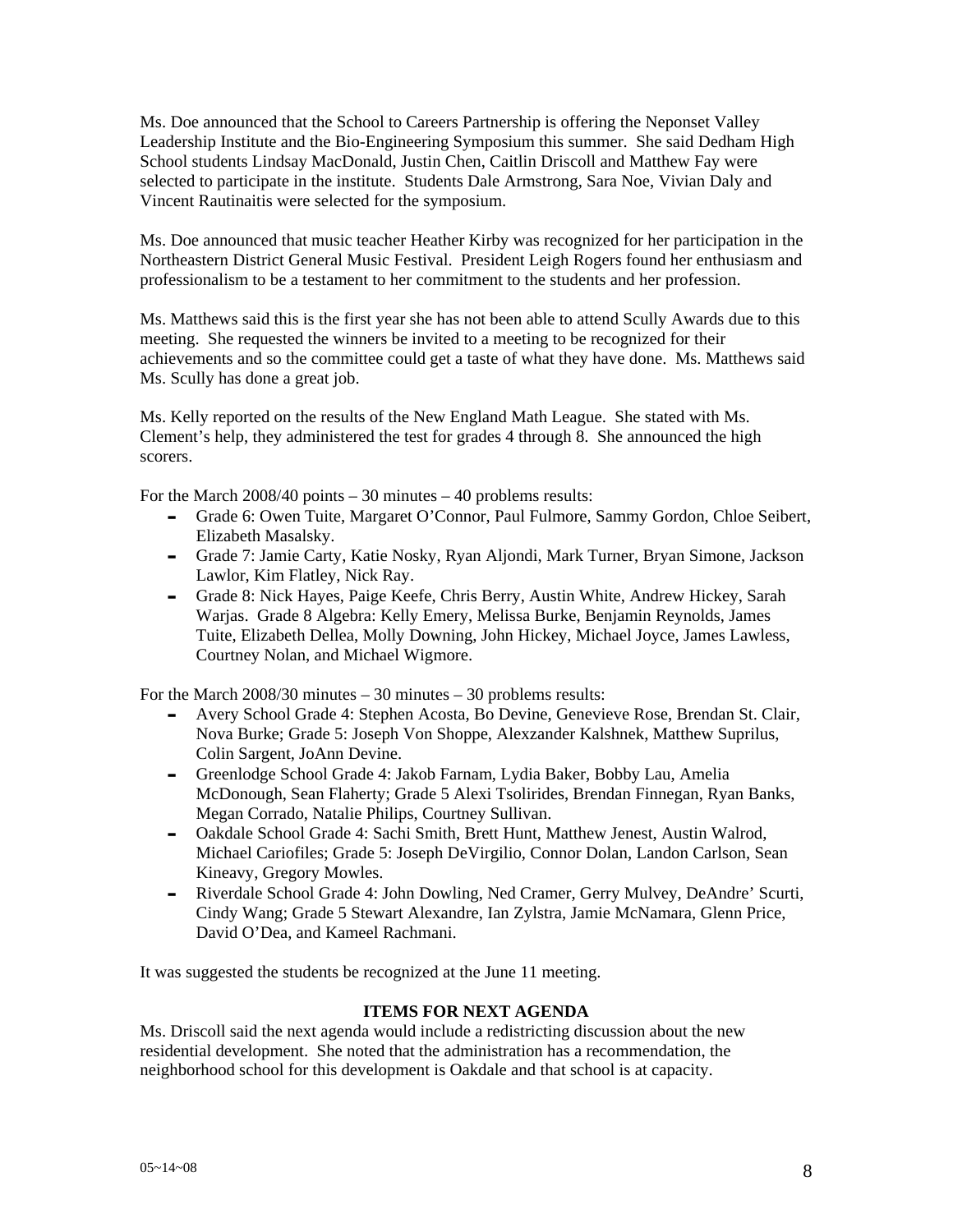Ms. Doe announced that the School to Careers Partnership is offering the Neponset Valley Leadership Institute and the Bio-Engineering Symposium this summer. She said Dedham High School students Lindsay MacDonald, Justin Chen, Caitlin Driscoll and Matthew Fay were selected to participate in the institute. Students Dale Armstrong, Sara Noe, Vivian Daly and Vincent Rautinaitis were selected for the symposium.

Ms. Doe announced that music teacher Heather Kirby was recognized for her participation in the Northeastern District General Music Festival. President Leigh Rogers found her enthusiasm and professionalism to be a testament to her commitment to the students and her profession.

Ms. Matthews said this is the first year she has not been able to attend Scully Awards due to this meeting. She requested the winners be invited to a meeting to be recognized for their achievements and so the committee could get a taste of what they have done. Ms. Matthews said Ms. Scully has done a great job.

Ms. Kelly reported on the results of the New England Math League. She stated with Ms. Clement's help, they administered the test for grades 4 through 8. She announced the high scorers.

For the March  $2008/40$  points  $-30$  minutes  $-40$  problems results:

- Grade 6: Owen Tuite, Margaret O'Connor, Paul Fulmore, Sammy Gordon, Chloe Seibert, Elizabeth Masalsky.
- Grade 7: Jamie Carty, Katie Nosky, Ryan Aljondi, Mark Turner, Bryan Simone, Jackson Lawlor, Kim Flatley, Nick Ray.
- Grade 8: Nick Hayes, Paige Keefe, Chris Berry, Austin White, Andrew Hickey, Sarah Warjas. Grade 8 Algebra: Kelly Emery, Melissa Burke, Benjamin Reynolds, James Tuite, Elizabeth Dellea, Molly Downing, John Hickey, Michael Joyce, James Lawless, Courtney Nolan, and Michael Wigmore.

For the March 2008/30 minutes – 30 minutes – 30 problems results:

- Avery School Grade 4: Stephen Acosta, Bo Devine, Genevieve Rose, Brendan St. Clair, Nova Burke; Grade 5: Joseph Von Shoppe, Alexzander Kalshnek, Matthew Suprilus, Colin Sargent, JoAnn Devine.
- Greenlodge School Grade 4: Jakob Farnam, Lydia Baker, Bobby Lau, Amelia McDonough, Sean Flaherty; Grade 5 Alexi Tsolirides, Brendan Finnegan, Ryan Banks, Megan Corrado, Natalie Philips, Courtney Sullivan.
- Oakdale School Grade 4: Sachi Smith, Brett Hunt, Matthew Jenest, Austin Walrod, Michael Cariofiles; Grade 5: Joseph DeVirgilio, Connor Dolan, Landon Carlson, Sean Kineavy, Gregory Mowles.
- Riverdale School Grade 4: John Dowling, Ned Cramer, Gerry Mulvey, DeAndre' Scurti, Cindy Wang; Grade 5 Stewart Alexandre, Ian Zylstra, Jamie McNamara, Glenn Price, David O'Dea, and Kameel Rachmani.

It was suggested the students be recognized at the June 11 meeting.

### **ITEMS FOR NEXT AGENDA**

Ms. Driscoll said the next agenda would include a redistricting discussion about the new residential development. She noted that the administration has a recommendation, the neighborhood school for this development is Oakdale and that school is at capacity.